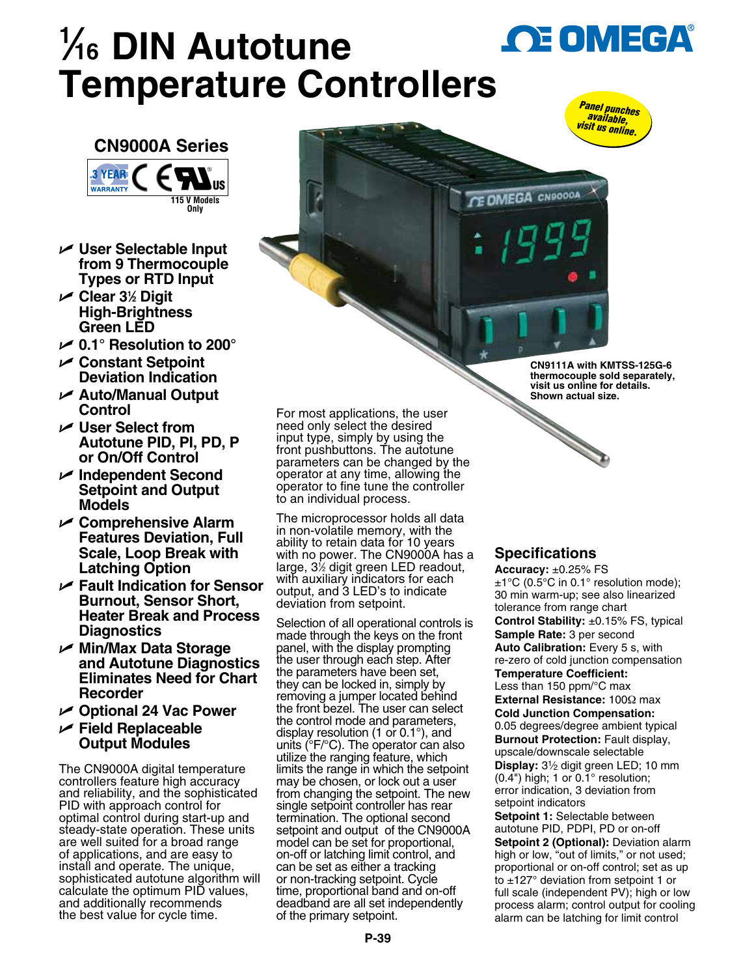## **1 ⁄16 DIN Autotune OE OMEGA® Temperature Controllers**





- U **User Selectable Input from 9 Thermocouple Types or RTD Input**
- U **Clear 31 ⁄2 Digit High-Brightness Green LED**
- U **0.1° Resolution to 200°**
- U **Constant Setpoint Deviation Indication**
- U **Auto/Manual Output Control**
- U **User Select from Autotune PID, PI, PD, P or On/Off Control**
- U **Independent Second Setpoint and Output Models**
- U **Comprehensive Alarm Features Deviation, Full Scale, Loop Break with Latching Option**
- U **Fault Indication for Sensor Burnout, Sensor Short, Heater Break and Process Diagnostics**
- U **Min/Max Data Storage and Autotune Diagnostics Eliminates Need for Chart Recorder**
- U **Optional 24 Vac Power**
- U **Field Replaceable Output Modules**

The CN9000A digital temperature controllers feature high accuracy and reliability, and the sophisticated PID with approach control for optimal control during start-up and steady-state operation. These units are well suited for a broad range of applications, and are easy to install and operate. The unique, sophisticated autotune algorithm will calculate the optimum PID values, and additionally recommends the best value for cycle time.

For most applications, the user need only select the desired input type, simply by using the front pushbuttons. The autotune parameters can be changed by the operator at any time, allowing the operator to fine tune the controller to an individual process.

The microprocessor holds all data in non-volatile memory, with the ability to retain data for 10 years with no power. The CN9000A has a large, 31 ⁄2 digit green LED readout, with auxiliary indicators for each output, and 3 LED's to indicate deviation from setpoint.

Selection of all operational controls is made through the keys on the front panel, with the display prompting the user through each step. After the parameters have been set, they can be locked in, simply by removing a jumper located behind the front bezel. The user can select the control mode and parameters, display resolution (1 or 0.1°), and units (°F/°C). The operator can also utilize the ranging feature, which limits the range in which the setpoint may be chosen, or lock out a user from changing the setpoint. The new single setpoint controller has rear termination. The optional second setpoint and output of the CN9000A model can be set for proportional, on-off or latching limit control, and can be set as either a tracking or non-tracking setpoint. Cycle time, proportional band and on-off deadband are all set independently of the primary setpoint.

**CN9111A with KMTSS-125G-6 thermocouple sold separately, visit us online for details. Shown actual size.**

## **Specifications**

CE OMEGA CNOCOOA

**Accuracy:** ±0.25% FS  $\pm$ 1°C (0.5°C in 0.1° resolution mode); 30 min warm-up; see also linearized tolerance from range chart **Control Stability:** ±0.15% FS, typical **Sample Rate:** 3 per second **Auto Calibration: Every 5 s, with** re-zero of cold junction compensation **Temperature Coefficient:** Less than 150 ppm/°C max **External Resistance:** 100Ω max **Cold Junction Compensation:**  0.05 degrees/degree ambient typical **Burnout Protection:** Fault display, upscale/downscale selectable **Display:** 31⁄2 digit green LED; 10 mm (0.4") high; 1 or 0.1° resolution; error indication, 3 deviation from setpoint indicators **Setpoint 1:** Selectable between autotune PID, PDPI, PD or on-off **Setpoint 2 (Optional):** Deviation alarm high or low, "out of limits," or not used; proportional or on-off control; set as up to ±127° deviation from setpoint 1 or full scale (independent PV); high or low process alarm; control output for cooling

alarm can be latching for limit control

**P-39**